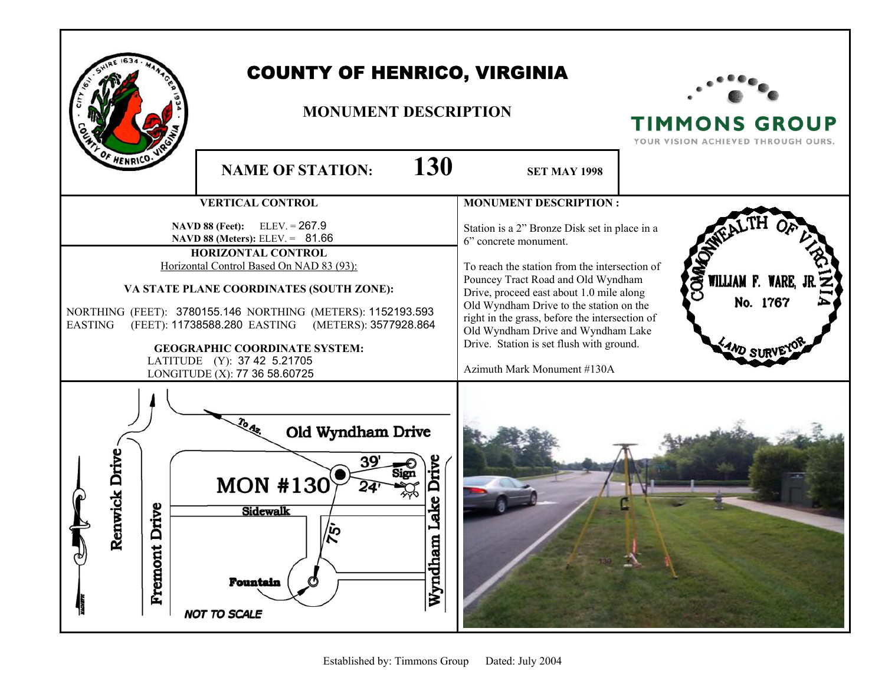| <b>COUNTY OF HENRICO, VIRGINIA</b><br><b>MONUMENT DESCRIPTION</b><br>F HENRICO.                                                                                                                                                                                                                                                                                                                                                                   | <b>TIMMONS GROUP</b><br>YOUR VISION ACHIEVED THROUGH OURS.                                                                                                                                                                                                                                                                                                                                                                                                            |
|---------------------------------------------------------------------------------------------------------------------------------------------------------------------------------------------------------------------------------------------------------------------------------------------------------------------------------------------------------------------------------------------------------------------------------------------------|-----------------------------------------------------------------------------------------------------------------------------------------------------------------------------------------------------------------------------------------------------------------------------------------------------------------------------------------------------------------------------------------------------------------------------------------------------------------------|
| <b>NAME OF STATION:</b>                                                                                                                                                                                                                                                                                                                                                                                                                           | 130<br><b>SET MAY 1998</b>                                                                                                                                                                                                                                                                                                                                                                                                                                            |
| <b>VERTICAL CONTROL</b>                                                                                                                                                                                                                                                                                                                                                                                                                           | <b>MONUMENT DESCRIPTION:</b>                                                                                                                                                                                                                                                                                                                                                                                                                                          |
| $ELEV = 267.9$<br><b>NAVD 88 (Feet):</b><br><b>NAVD 88 (Meters):</b> ELEV. = $81.66$<br>HORIZONTAL CONTROL<br>Horizontal Control Based On NAD 83 (93):<br>VA STATE PLANE COORDINATES (SOUTH ZONE):<br>NORTHING (FEET): 3780155.146 NORTHING (METERS): 1152193.593<br>(FEET): 11738588.280 EASTING (METERS): 3577928.864<br><b>EASTING</b><br><b>GEOGRAPHIC COORDINATE SYSTEM:</b><br>LATITUDE (Y): 37 42 5.21705<br>LONGITUDE (X): 77 36 58.60725 | Station is a 2" Bronze Disk set in place in a<br>6" concrete monument.<br>To reach the station from the intersection of<br><b>QMA</b><br>WILLIAM F. WARE,<br>Pouncey Tract Road and Old Wyndham<br>Drive, proceed east about 1.0 mile along<br>No. 1767<br>Old Wyndham Drive to the station on the<br>right in the grass, before the intersection of<br>Old Wyndham Drive and Wyndham Lake<br>Drive. Station is set flush with ground.<br>Azimuth Mark Monument #130A |
| Old Wyndham Drive<br>nwick Drive<br>Sign<br><b>MON #130</b><br>rive<br><b>Sidewalk</b><br>Re<br><b>Fremont L</b><br>ベ<br><b>Fountain</b><br><b>NOT TO SCALE</b>                                                                                                                                                                                                                                                                                   | Drive<br>ake<br>Wyndham                                                                                                                                                                                                                                                                                                                                                                                                                                               |